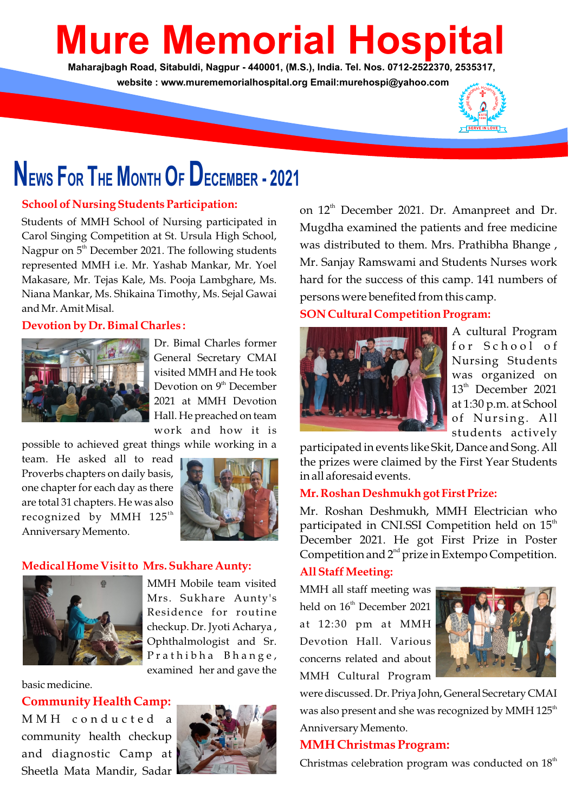# **Mure Memorial Hospital**

**Maharajbagh Road, Sitabuldi, Nagpur - 440001, (M.S.), India. Tel. Nos. 0712-2522370, 2535317, website : www.murememorialhospital.org Email:murehospi@yahoo.com**



## **NEWS FOR THE MONTH O<sup>F</sup> DECEMBER - <sup>2021</sup>**

#### **School of Nursing Students Participation:**

Students of MMH School of Nursing participated in Carol Singing Competition at St. Ursula High School, Nagpur on  $5<sup>th</sup>$  December 2021. The following students represented MMH i.e. Mr. Yashab Mankar, Mr. Yoel Makasare, Mr. Tejas Kale, Ms. Pooja Lambghare, Ms. Niana Mankar, Ms. Shikaina Timothy, Ms. Sejal Gawai and Mr. Amit Misal.

#### **Devotion by Dr. Bimal Charles :**



Dr. Bimal Charles former General Secretary CMAI visited MMH and He took Devotion on  $9<sup>th</sup>$  December 2021 at MMH Devotion Hall. He preached on team work and how it is

possible to achieved great things while working in a

team. He asked all to read Proverbs chapters on daily basis, one chapter for each day as there are total 31 chapters. He was also recognized by MMH 125 $^{\rm th}$ Anniversary Memento.



#### **Medical Home Visit to Mrs. Sukhare Aunty:**



MMH Mobile team visited Mrs. Sukhare Aunty's Residence for routine checkup. Dr. Jyoti Acharya , Ophthalmologist and Sr. Prathibha Bhange, examined her and gave the

basic medicine.

**Community Health Camp:**

M M H c o n d u c t e d a community health checkup and diagnostic Camp at Sheetla Mata Mandir, Sadar



on 12<sup>th</sup> December 2021. Dr. Amanpreet and Dr. Mugdha examined the patients and free medicine was distributed to them. Mrs. Prathibha Bhange , Mr. Sanjay Ramswami and Students Nurses work hard for the success of this camp. 141 numbers of persons were benefited from this camp.

#### **SON Cultural Competition Program:**



A cultural Program for School of Nursing Students was organized on  $13<sup>th</sup>$  December 2021 at 1:30 p.m. at School of Nursing. All students actively

participated in events like Skit, Dance and Song. All the prizes were claimed by the First Year Students in all aforesaid events.

#### **Mr. Roshan Deshmukh got First Prize:**

Mr. Roshan Deshmukh, MMH Electrician who participated in CNI.SSI Competition held on  $15<sup>th</sup>$ December 2021. He got First Prize in Poster Competition and  $2<sup>nd</sup>$  prize in Extempo Competition.

#### **All Staff Meeting:**

MMH all staff meeting was held on  $16<sup>th</sup>$  December 2021 at 12:30 pm at MMH Devotion Hall. Various concerns related and about MMH Cultural Program



were discussed. Dr. Priya John, General Secretary CMAI was also present and she was recognized by MMH 125<sup>th</sup> Anniversary Memento.

#### **MMH Christmas Program:**

Christmas celebration program was conducted on  $18<sup>th</sup>$